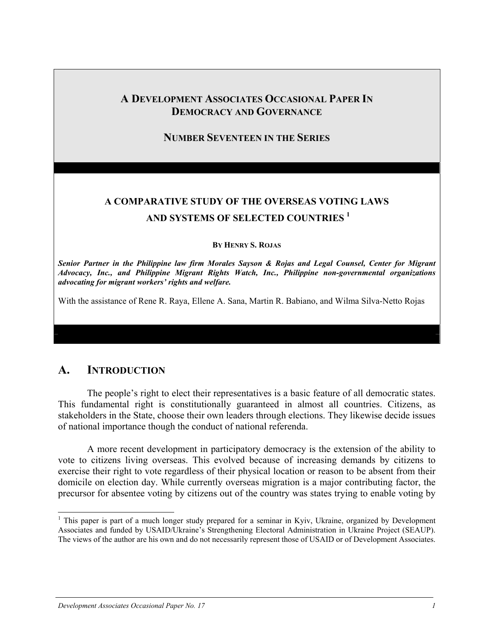## **A DEVELOPMENT ASSOCIATES OCCASIONAL PAPER IN DEMOCRACY AND GOVERNANCE**

#### **NUMBER SEVENTEEN IN THE SERIES**

# **A COMPARATIVE STUDY OF THE OVERSEAS VOTING LAWS AND SYSTEMS OF SELECTED COUNTRIES 1**

#### **BY HENRY S. ROJAS**

*Senior Partner in the Philippine law firm Morales Sayson & Rojas and Legal Counsel, Center for Migrant Advocacy, Inc., and Philippine Migrant Rights Watch, Inc., Philippine non-governmental organizations advocating for migrant workers' rights and welfare.* 

With the assistance of Rene R. Raya, Ellene A. Sana, Martin R. Babiano, and Wilma Silva-Netto Rojas

## **A. INTRODUCTION**

 $\overline{a}$ 

 The people's right to elect their representatives is a basic feature of all democratic states. This fundamental right is constitutionally guaranteed in almost all countries. Citizens, as stakeholders in the State, choose their own leaders through elections. They likewise decide issues of national importance though the conduct of national referenda.

 A more recent development in participatory democracy is the extension of the ability to vote to citizens living overseas. This evolved because of increasing demands by citizens to exercise their right to vote regardless of their physical location or reason to be absent from their domicile on election day. While currently overseas migration is a major contributing factor, the precursor for absentee voting by citizens out of the country was states trying to enable voting by

<sup>&</sup>lt;sup>1</sup> This paper is part of a much longer study prepared for a seminar in Kyiv, Ukraine, organized by Development Associates and funded by USAID/Ukraine's Strengthening Electoral Administration in Ukraine Project (SEAUP). The views of the author are his own and do not necessarily represent those of USAID or of Development Associates.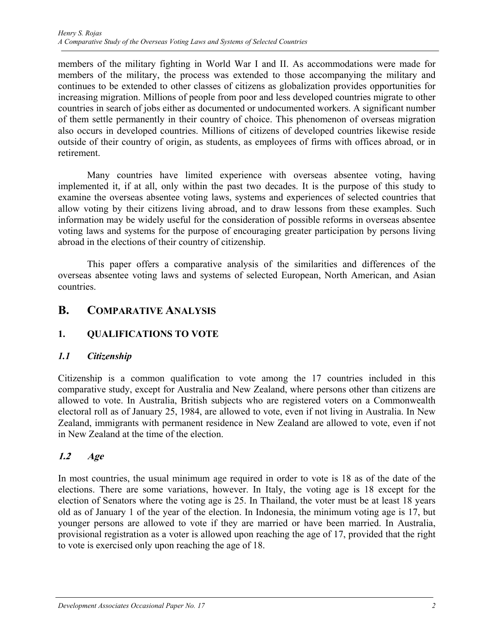members of the military fighting in World War I and II. As accommodations were made for members of the military, the process was extended to those accompanying the military and continues to be extended to other classes of citizens as globalization provides opportunities for increasing migration. Millions of people from poor and less developed countries migrate to other countries in search of jobs either as documented or undocumented workers. A significant number of them settle permanently in their country of choice. This phenomenon of overseas migration also occurs in developed countries. Millions of citizens of developed countries likewise reside outside of their country of origin, as students, as employees of firms with offices abroad, or in retirement.

 Many countries have limited experience with overseas absentee voting, having implemented it, if at all, only within the past two decades. It is the purpose of this study to examine the overseas absentee voting laws, systems and experiences of selected countries that allow voting by their citizens living abroad, and to draw lessons from these examples. Such information may be widely useful for the consideration of possible reforms in overseas absentee voting laws and systems for the purpose of encouraging greater participation by persons living abroad in the elections of their country of citizenship.

This paper offers a comparative analysis of the similarities and differences of the overseas absentee voting laws and systems of selected European, North American, and Asian countries.

## **B. COMPARATIVE ANALYSIS**

### **1. QUALIFICATIONS TO VOTE**

### *1.1 Citizenship*

Citizenship is a common qualification to vote among the 17 countries included in this comparative study, except for Australia and New Zealand, where persons other than citizens are allowed to vote. In Australia, British subjects who are registered voters on a Commonwealth electoral roll as of January 25, 1984, are allowed to vote, even if not living in Australia. In New Zealand, immigrants with permanent residence in New Zealand are allowed to vote, even if not in New Zealand at the time of the election.

### **1.2 Age**

In most countries, the usual minimum age required in order to vote is 18 as of the date of the elections. There are some variations, however. In Italy, the voting age is 18 except for the election of Senators where the voting age is 25. In Thailand, the voter must be at least 18 years old as of January 1 of the year of the election. In Indonesia, the minimum voting age is 17, but younger persons are allowed to vote if they are married or have been married. In Australia, provisional registration as a voter is allowed upon reaching the age of 17, provided that the right to vote is exercised only upon reaching the age of 18.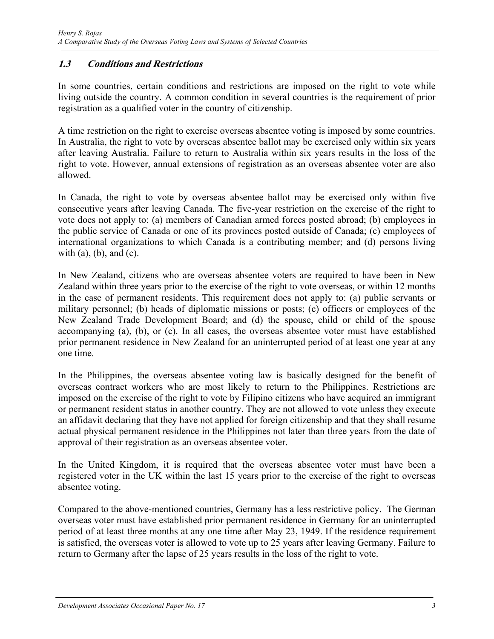#### **1.3 Conditions and Restrictions**

In some countries, certain conditions and restrictions are imposed on the right to vote while living outside the country. A common condition in several countries is the requirement of prior registration as a qualified voter in the country of citizenship.

A time restriction on the right to exercise overseas absentee voting is imposed by some countries. In Australia, the right to vote by overseas absentee ballot may be exercised only within six years after leaving Australia. Failure to return to Australia within six years results in the loss of the right to vote. However, annual extensions of registration as an overseas absentee voter are also allowed.

In Canada, the right to vote by overseas absentee ballot may be exercised only within five consecutive years after leaving Canada. The five-year restriction on the exercise of the right to vote does not apply to: (a) members of Canadian armed forces posted abroad; (b) employees in the public service of Canada or one of its provinces posted outside of Canada; (c) employees of international organizations to which Canada is a contributing member; and (d) persons living with  $(a)$ ,  $(b)$ , and  $(c)$ .

In New Zealand, citizens who are overseas absentee voters are required to have been in New Zealand within three years prior to the exercise of the right to vote overseas, or within 12 months in the case of permanent residents. This requirement does not apply to: (a) public servants or military personnel; (b) heads of diplomatic missions or posts; (c) officers or employees of the New Zealand Trade Development Board; and (d) the spouse, child or child of the spouse accompanying (a), (b), or (c). In all cases, the overseas absentee voter must have established prior permanent residence in New Zealand for an uninterrupted period of at least one year at any one time.

In the Philippines, the overseas absentee voting law is basically designed for the benefit of overseas contract workers who are most likely to return to the Philippines. Restrictions are imposed on the exercise of the right to vote by Filipino citizens who have acquired an immigrant or permanent resident status in another country. They are not allowed to vote unless they execute an affidavit declaring that they have not applied for foreign citizenship and that they shall resume actual physical permanent residence in the Philippines not later than three years from the date of approval of their registration as an overseas absentee voter.

In the United Kingdom, it is required that the overseas absentee voter must have been a registered voter in the UK within the last 15 years prior to the exercise of the right to overseas absentee voting.

Compared to the above-mentioned countries, Germany has a less restrictive policy. The German overseas voter must have established prior permanent residence in Germany for an uninterrupted period of at least three months at any one time after May 23, 1949. If the residence requirement is satisfied, the overseas voter is allowed to vote up to 25 years after leaving Germany. Failure to return to Germany after the lapse of 25 years results in the loss of the right to vote.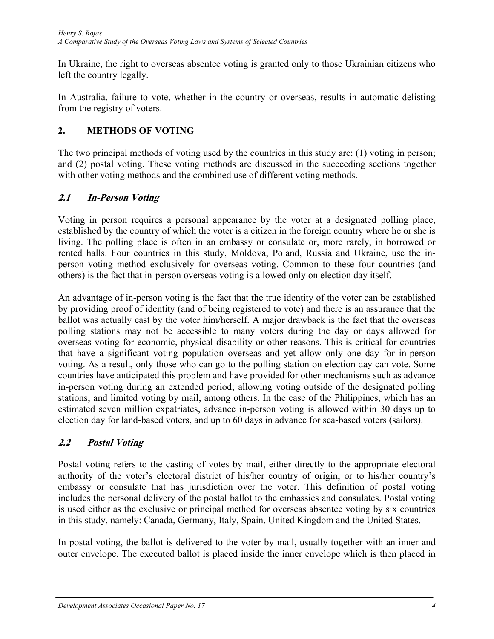In Ukraine, the right to overseas absentee voting is granted only to those Ukrainian citizens who left the country legally.

In Australia, failure to vote, whether in the country or overseas, results in automatic delisting from the registry of voters.

### **2. METHODS OF VOTING**

The two principal methods of voting used by the countries in this study are: (1) voting in person; and (2) postal voting. These voting methods are discussed in the succeeding sections together with other voting methods and the combined use of different voting methods.

### **2.1 In-Person Voting**

Voting in person requires a personal appearance by the voter at a designated polling place, established by the country of which the voter is a citizen in the foreign country where he or she is living. The polling place is often in an embassy or consulate or, more rarely, in borrowed or rented halls. Four countries in this study, Moldova, Poland, Russia and Ukraine, use the inperson voting method exclusively for overseas voting. Common to these four countries (and others) is the fact that in-person overseas voting is allowed only on election day itself.

An advantage of in-person voting is the fact that the true identity of the voter can be established by providing proof of identity (and of being registered to vote) and there is an assurance that the ballot was actually cast by the voter him/herself. A major drawback is the fact that the overseas polling stations may not be accessible to many voters during the day or days allowed for overseas voting for economic, physical disability or other reasons. This is critical for countries that have a significant voting population overseas and yet allow only one day for in-person voting. As a result, only those who can go to the polling station on election day can vote. Some countries have anticipated this problem and have provided for other mechanisms such as advance in-person voting during an extended period; allowing voting outside of the designated polling stations; and limited voting by mail, among others. In the case of the Philippines, which has an estimated seven million expatriates, advance in-person voting is allowed within 30 days up to election day for land-based voters, and up to 60 days in advance for sea-based voters (sailors).

### **2.2 Postal Voting**

Postal voting refers to the casting of votes by mail, either directly to the appropriate electoral authority of the voter's electoral district of his/her country of origin, or to his/her country's embassy or consulate that has jurisdiction over the voter. This definition of postal voting includes the personal delivery of the postal ballot to the embassies and consulates. Postal voting is used either as the exclusive or principal method for overseas absentee voting by six countries in this study, namely: Canada, Germany, Italy, Spain, United Kingdom and the United States.

In postal voting, the ballot is delivered to the voter by mail, usually together with an inner and outer envelope. The executed ballot is placed inside the inner envelope which is then placed in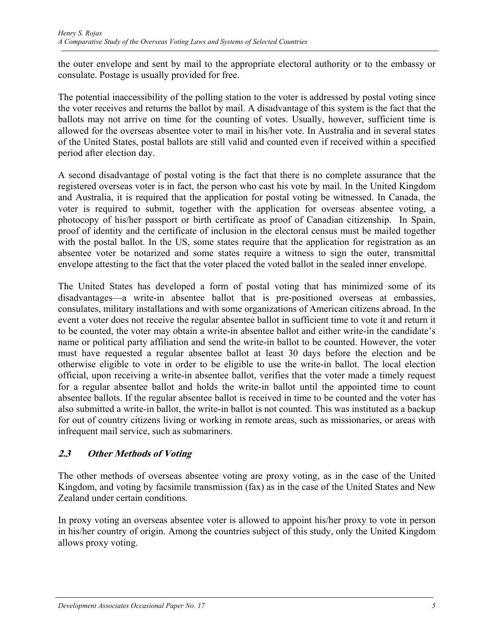the outer envelope and sent by mail to the appropriate electoral authority or to the embassy or consulate. Postage is usually provided for free.

The potential inaccessibility of the polling station to the voter is addressed by postal voting since the voter receives and returns the ballot by mail. A disadvantage of this system is the fact that the ballots may not arrive on time for the counting of votes. Usually, however, sufficient time is allowed for the overseas absentee voter to mail in his/her vote. In Australia and in several states of the United States, postal ballots are still valid and counted even if received within a specified period after election day.

A second disadvantage of postal voting is the fact that there is no complete assurance that the registered overseas voter is in fact, the person who cast his vote by mail. In the United Kingdom and Australia, it is required that the application for postal voting be witnessed. In Canada, the voter is required to submit, together with the application for overseas absentee voting, a photocopy of his/her passport or birth certificate as proof of Canadian citizenship. In Spain, proof of identity and the certificate of inclusion in the electoral census must be mailed together with the postal ballot. In the US, some states require that the application for registration as an absentee voter be notarized and some states require a witness to sign the outer, transmittal envelope attesting to the fact that the voter placed the voted ballot in the sealed inner envelope.

The United States has developed a form of postal voting that has minimized some of its disadvantages—a write-in absentee ballot that is pre-positioned overseas at embassies, consulates, military installations and with some organizations of American citizens abroad. In the event a voter does not receive the regular absentee ballot in sufficient time to vote it and return it to be counted, the voter may obtain a write-in absentee ballot and either write-in the candidate's name or political party affiliation and send the write-in ballot to be counted. However, the voter must have requested a regular absentee ballot at least 30 days before the election and be otherwise eligible to vote in order to be eligible to use the write-in ballot. The local election official, upon receiving a write-in absentee ballot, verifies that the voter made a timely request for a regular absentee ballot and holds the write-in ballot until the appointed time to count absentee ballots. If the regular absentee ballot is received in time to be counted and the voter has also submitted a write-in ballot, the write-in ballot is not counted. This was instituted as a backup for out of country citizens living or working in remote areas, such as missionaries, or areas with infrequent mail service, such as submariners.

### **2.3 Other Methods of Voting**

The other methods of overseas absentee voting are proxy voting, as in the case of the United Kingdom, and voting by facsimile transmission (fax) as in the case of the United States and New Zealand under certain conditions.

In proxy voting an overseas absentee voter is allowed to appoint his/her proxy to vote in person in his/her country of origin. Among the countries subject of this study, only the United Kingdom allows proxy voting.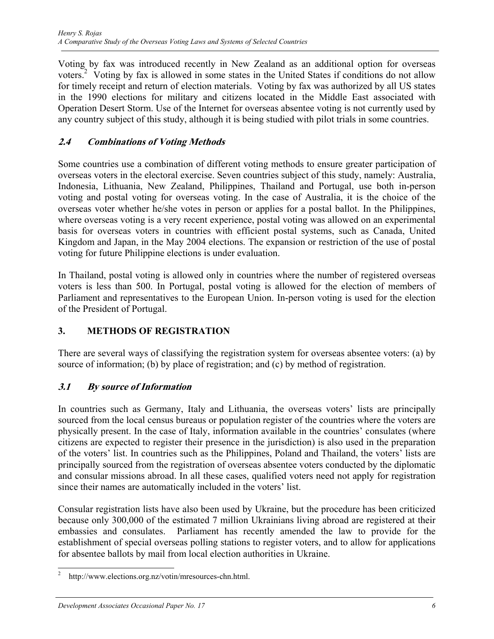Voting by fax was introduced recently in New Zealand as an additional option for overseas voters.<sup>2</sup> Voting by fax is allowed in some states in the United States if conditions do not allow for timely receipt and return of election materials. Voting by fax was authorized by all US states in the 1990 elections for military and citizens located in the Middle East associated with Operation Desert Storm. Use of the Internet for overseas absentee voting is not currently used by any country subject of this study, although it is being studied with pilot trials in some countries.

## **2.4 Combinations of Voting Methods**

Some countries use a combination of different voting methods to ensure greater participation of overseas voters in the electoral exercise. Seven countries subject of this study, namely: Australia, Indonesia, Lithuania, New Zealand, Philippines, Thailand and Portugal, use both in-person voting and postal voting for overseas voting. In the case of Australia, it is the choice of the overseas voter whether he/she votes in person or applies for a postal ballot. In the Philippines, where overseas voting is a very recent experience, postal voting was allowed on an experimental basis for overseas voters in countries with efficient postal systems, such as Canada, United Kingdom and Japan, in the May 2004 elections. The expansion or restriction of the use of postal voting for future Philippine elections is under evaluation.

In Thailand, postal voting is allowed only in countries where the number of registered overseas voters is less than 500. In Portugal, postal voting is allowed for the election of members of Parliament and representatives to the European Union. In-person voting is used for the election of the President of Portugal.

### **3. METHODS OF REGISTRATION**

There are several ways of classifying the registration system for overseas absentee voters: (a) by source of information; (b) by place of registration; and (c) by method of registration.

### **3.1 By source of Information**

In countries such as Germany, Italy and Lithuania, the overseas voters' lists are principally sourced from the local census bureaus or population register of the countries where the voters are physically present. In the case of Italy, information available in the countries' consulates (where citizens are expected to register their presence in the jurisdiction) is also used in the preparation of the voters' list. In countries such as the Philippines, Poland and Thailand, the voters' lists are principally sourced from the registration of overseas absentee voters conducted by the diplomatic and consular missions abroad. In all these cases, qualified voters need not apply for registration since their names are automatically included in the voters' list.

Consular registration lists have also been used by Ukraine, but the procedure has been criticized because only 300,000 of the estimated 7 million Ukrainians living abroad are registered at their embassies and consulates. Parliament has recently amended the law to provide for the establishment of special overseas polling stations to register voters, and to allow for applications for absentee ballots by mail from local election authorities in Ukraine.

 $\overline{a}$ 2 http://www.elections.org.nz/votin/mresources-chn.html.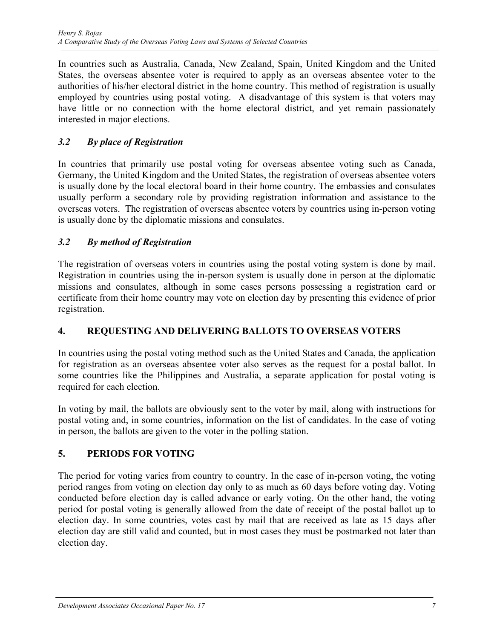In countries such as Australia, Canada, New Zealand, Spain, United Kingdom and the United States, the overseas absentee voter is required to apply as an overseas absentee voter to the authorities of his/her electoral district in the home country. This method of registration is usually employed by countries using postal voting. A disadvantage of this system is that voters may have little or no connection with the home electoral district, and yet remain passionately interested in major elections.

### *3.2 By place of Registration*

In countries that primarily use postal voting for overseas absentee voting such as Canada, Germany, the United Kingdom and the United States, the registration of overseas absentee voters is usually done by the local electoral board in their home country. The embassies and consulates usually perform a secondary role by providing registration information and assistance to the overseas voters. The registration of overseas absentee voters by countries using in-person voting is usually done by the diplomatic missions and consulates.

#### *3.2 By method of Registration*

The registration of overseas voters in countries using the postal voting system is done by mail. Registration in countries using the in-person system is usually done in person at the diplomatic missions and consulates, although in some cases persons possessing a registration card or certificate from their home country may vote on election day by presenting this evidence of prior registration.

#### **4. REQUESTING AND DELIVERING BALLOTS TO OVERSEAS VOTERS**

In countries using the postal voting method such as the United States and Canada, the application for registration as an overseas absentee voter also serves as the request for a postal ballot. In some countries like the Philippines and Australia, a separate application for postal voting is required for each election.

In voting by mail, the ballots are obviously sent to the voter by mail, along with instructions for postal voting and, in some countries, information on the list of candidates. In the case of voting in person, the ballots are given to the voter in the polling station.

#### **5. PERIODS FOR VOTING**

The period for voting varies from country to country. In the case of in-person voting, the voting period ranges from voting on election day only to as much as 60 days before voting day. Voting conducted before election day is called advance or early voting. On the other hand, the voting period for postal voting is generally allowed from the date of receipt of the postal ballot up to election day. In some countries, votes cast by mail that are received as late as 15 days after election day are still valid and counted, but in most cases they must be postmarked not later than election day.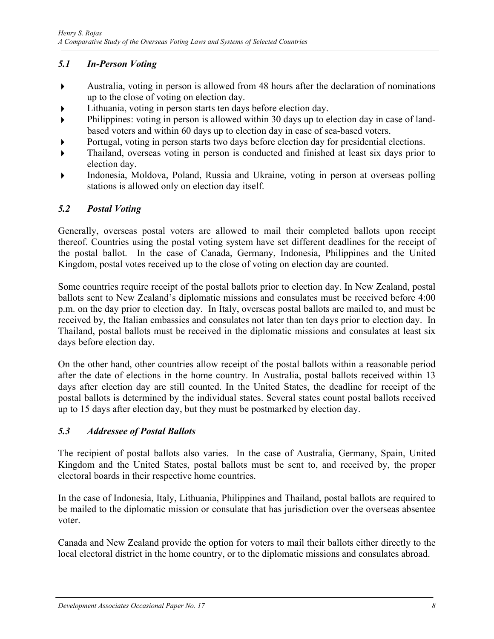### *5.1 In-Person Voting*

- Australia, voting in person is allowed from 48 hours after the declaration of nominations up to the close of voting on election day.
- Lithuania, voting in person starts ten days before election day.
- Philippines: voting in person is allowed within 30 days up to election day in case of landbased voters and within 60 days up to election day in case of sea-based voters.
- Portugal, voting in person starts two days before election day for presidential elections.
- Thailand, overseas voting in person is conducted and finished at least six days prior to election day.
- Indonesia, Moldova, Poland, Russia and Ukraine, voting in person at overseas polling stations is allowed only on election day itself.

### *5.2 Postal Voting*

Generally, overseas postal voters are allowed to mail their completed ballots upon receipt thereof. Countries using the postal voting system have set different deadlines for the receipt of the postal ballot. In the case of Canada, Germany, Indonesia, Philippines and the United Kingdom, postal votes received up to the close of voting on election day are counted.

Some countries require receipt of the postal ballots prior to election day. In New Zealand, postal ballots sent to New Zealand's diplomatic missions and consulates must be received before 4:00 p.m. on the day prior to election day. In Italy, overseas postal ballots are mailed to, and must be received by, the Italian embassies and consulates not later than ten days prior to election day. In Thailand, postal ballots must be received in the diplomatic missions and consulates at least six days before election day.

On the other hand, other countries allow receipt of the postal ballots within a reasonable period after the date of elections in the home country. In Australia, postal ballots received within 13 days after election day are still counted. In the United States, the deadline for receipt of the postal ballots is determined by the individual states. Several states count postal ballots received up to 15 days after election day, but they must be postmarked by election day.

#### *5.3 Addressee of Postal Ballots*

The recipient of postal ballots also varies. In the case of Australia, Germany, Spain, United Kingdom and the United States, postal ballots must be sent to, and received by, the proper electoral boards in their respective home countries.

In the case of Indonesia, Italy, Lithuania, Philippines and Thailand, postal ballots are required to be mailed to the diplomatic mission or consulate that has jurisdiction over the overseas absentee voter.

Canada and New Zealand provide the option for voters to mail their ballots either directly to the local electoral district in the home country, or to the diplomatic missions and consulates abroad.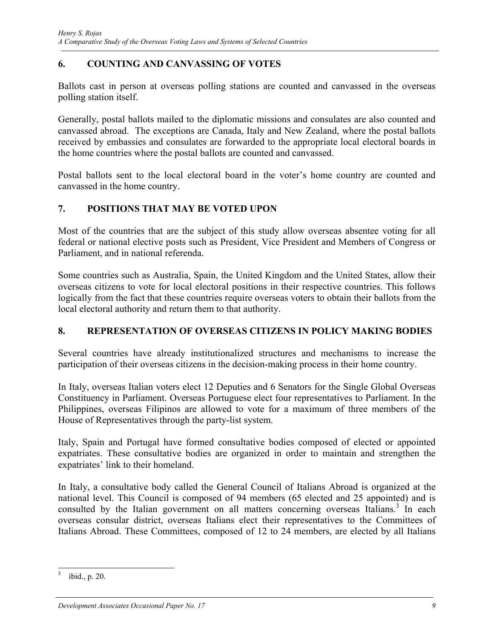#### **6. COUNTING AND CANVASSING OF VOTES**

Ballots cast in person at overseas polling stations are counted and canvassed in the overseas polling station itself.

Generally, postal ballots mailed to the diplomatic missions and consulates are also counted and canvassed abroad. The exceptions are Canada, Italy and New Zealand, where the postal ballots received by embassies and consulates are forwarded to the appropriate local electoral boards in the home countries where the postal ballots are counted and canvassed.

Postal ballots sent to the local electoral board in the voter's home country are counted and canvassed in the home country.

#### **7. POSITIONS THAT MAY BE VOTED UPON**

Most of the countries that are the subject of this study allow overseas absentee voting for all federal or national elective posts such as President, Vice President and Members of Congress or Parliament, and in national referenda.

Some countries such as Australia, Spain, the United Kingdom and the United States, allow their overseas citizens to vote for local electoral positions in their respective countries. This follows logically from the fact that these countries require overseas voters to obtain their ballots from the local electoral authority and return them to that authority.

#### **8. REPRESENTATION OF OVERSEAS CITIZENS IN POLICY MAKING BODIES**

Several countries have already institutionalized structures and mechanisms to increase the participation of their overseas citizens in the decision-making process in their home country.

In Italy, overseas Italian voters elect 12 Deputies and 6 Senators for the Single Global Overseas Constituency in Parliament. Overseas Portuguese elect four representatives to Parliament. In the Philippines, overseas Filipinos are allowed to vote for a maximum of three members of the House of Representatives through the party-list system.

Italy, Spain and Portugal have formed consultative bodies composed of elected or appointed expatriates. These consultative bodies are organized in order to maintain and strengthen the expatriates' link to their homeland.

In Italy, a consultative body called the General Council of Italians Abroad is organized at the national level. This Council is composed of 94 members (65 elected and 25 appointed) and is consulted by the Italian government on all matters concerning overseas Italians.<sup>3</sup> In each overseas consular district, overseas Italians elect their representatives to the Committees of Italians Abroad. These Committees, composed of 12 to 24 members, are elected by all Italians

 $\overline{a}$ 3 ibid., p. 20.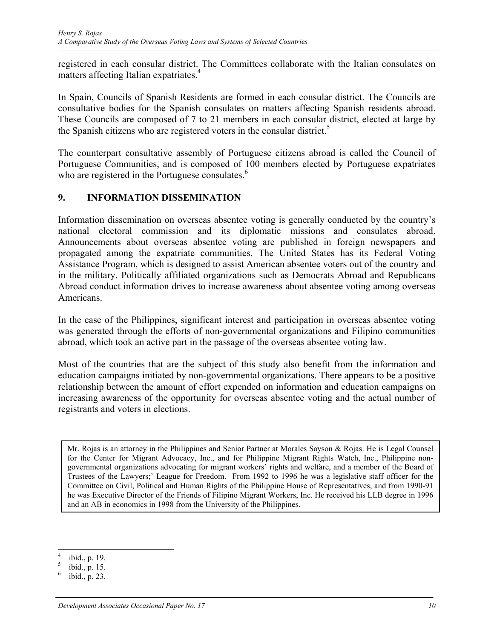registered in each consular district. The Committees collaborate with the Italian consulates on matters affecting Italian expatriates.<sup>4</sup>

In Spain, Councils of Spanish Residents are formed in each consular district. The Councils are consultative bodies for the Spanish consulates on matters affecting Spanish residents abroad. These Councils are composed of 7 to 21 members in each consular district, elected at large by the Spanish citizens who are registered voters in the consular district.<sup>5</sup>

The counterpart consultative assembly of Portuguese citizens abroad is called the Council of Portuguese Communities, and is composed of 100 members elected by Portuguese expatriates who are registered in the Portuguese consulates.<sup>6</sup>

#### **9. INFORMATION DISSEMINATION**

Information dissemination on overseas absentee voting is generally conducted by the country's national electoral commission and its diplomatic missions and consulates abroad. Announcements about overseas absentee voting are published in foreign newspapers and propagated among the expatriate communities. The United States has its Federal Voting Assistance Program, which is designed to assist American absentee voters out of the country and in the military. Politically affiliated organizations such as Democrats Abroad and Republicans Abroad conduct information drives to increase awareness about absentee voting among overseas Americans.

In the case of the Philippines, significant interest and participation in overseas absentee voting was generated through the efforts of non-governmental organizations and Filipino communities abroad, which took an active part in the passage of the overseas absentee voting law.

Most of the countries that are the subject of this study also benefit from the information and education campaigns initiated by non-governmental organizations. There appears to be a positive relationship between the amount of effort expended on information and education campaigns on increasing awareness of the opportunity for overseas absentee voting and the actual number of registrants and voters in elections.

Mr. Rojas is an attorney in the Philippines and Senior Partner at Morales Sayson & Rojas. He is Legal Counsel for the Center for Migrant Advocacy, Inc., and for Philippine Migrant Rights Watch, Inc., Philippine nongovernmental organizations advocating for migrant workers' rights and welfare, and a member of the Board of Trustees of the Lawyers;' League for Freedom. From 1992 to 1996 he was a legislative staff officer for the Committee on Civil, Political and Human Rights of the Philippine House of Representatives, and from 1990-91 he was Executive Director of the Friends of Filipino Migrant Workers, Inc. He received his LLB degree in 1996 and an AB in economics in 1998 from the University of the Philippines.

 4 ibid., p. 19.

<sup>5</sup> ibid., p. 15.

<sup>6</sup> ibid., p. 23.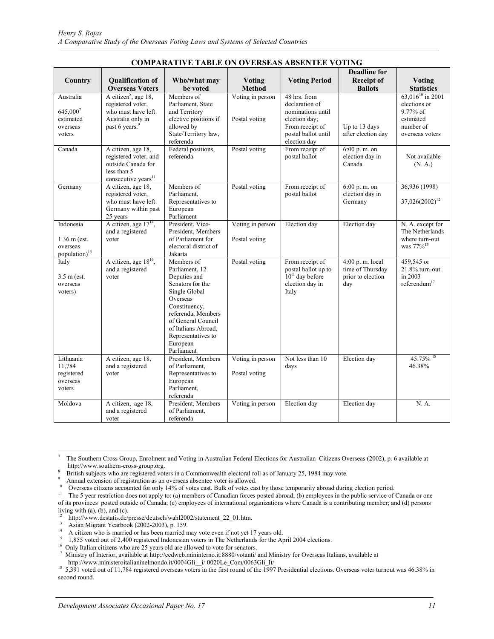| <b>COMPARATIVE TABLE ON OVERSEAS ABSENTEE VOTING</b>                 |                                                                                                                     |                                                                                                                                                                                                                                   |                                   |                                                                                                   |                                                                 |                                                                                |
|----------------------------------------------------------------------|---------------------------------------------------------------------------------------------------------------------|-----------------------------------------------------------------------------------------------------------------------------------------------------------------------------------------------------------------------------------|-----------------------------------|---------------------------------------------------------------------------------------------------|-----------------------------------------------------------------|--------------------------------------------------------------------------------|
|                                                                      |                                                                                                                     |                                                                                                                                                                                                                                   |                                   |                                                                                                   | <b>Deadline for</b>                                             |                                                                                |
| Country                                                              | <b>Oualification of</b><br><b>Overseas Voters</b>                                                                   | Who/what may<br>be voted                                                                                                                                                                                                          | <b>Voting</b><br><b>Method</b>    | <b>Voting Period</b>                                                                              | <b>Receipt of</b><br><b>Ballots</b>                             | <b>Voting</b><br><b>Statistics</b>                                             |
| Australia                                                            | A citizen <sup>8</sup> , age 18,<br>registered voter,                                                               | Members of<br>Parliament, State                                                                                                                                                                                                   | Voting in person                  | 48 hrs. from<br>declaration of                                                                    |                                                                 | $63,016^{10}$ in 2001<br>elections or                                          |
| 645,0007<br>estimated<br>overseas<br>voters                          | who must have left<br>Australia only in<br>past 6 years. <sup>9</sup>                                               | and Territory<br>elective positions if<br>allowed by<br>State/Territory law,                                                                                                                                                      | Postal voting                     | nominations until<br>election day;<br>From receipt of<br>postal ballot until                      | Up to 13 days<br>after election day                             | 9.77% of<br>estimated<br>number of<br>overseas voters                          |
| Canada                                                               | A citizen, age 18,<br>registered voter, and<br>outside Canada for<br>less than 5<br>consecutive years <sup>11</sup> | referenda<br>Federal positions,<br>referenda                                                                                                                                                                                      | Postal voting                     | election day<br>From receipt of<br>postal ballot                                                  | 6:00 p. m. on<br>election day in<br>Canada                      | Not available<br>(N. A.)                                                       |
| Germany                                                              | A citizen, age 18,<br>registered voter.<br>who must have left<br>Germany within past<br>25 years                    | Members of<br>Parliament.<br>Representatives to<br>European<br>Parliament                                                                                                                                                         | Postal voting                     | From receipt of<br>postal ballot                                                                  | 6:00 p. m. on<br>election day in<br>Germany                     | 36,936 (1998)<br>37,026(2002) <sup>12</sup>                                    |
| Indonesia<br>$1.36$ m (est.<br>overseas<br>population) <sup>13</sup> | A citizen, age $17^{14}$ ,<br>and a registered<br>voter                                                             | President, Vice-<br>President, Members<br>of Parliament for<br>electoral district of<br>Jakarta                                                                                                                                   | Voting in person<br>Postal voting | Election day                                                                                      | Election day                                                    | N. A. except for<br>The Netherlands<br>where turn-out<br>was 77% <sup>15</sup> |
| Italy<br>$3.5$ m (est.<br>overseas<br>voters)                        | A citizen, age 18 <sup>16</sup> ,<br>and a registered<br>voter                                                      | Members of<br>Parliament, 12<br>Deputies and<br>Senators for the<br>Single Global<br>Overseas<br>Constituency,<br>referenda, Members<br>of General Council<br>of Italians Abroad,<br>Representatives to<br>European<br>Parliament | Postal voting                     | From receipt of<br>postal ballot up to<br>10 <sup>th</sup> day before<br>election day in<br>Italy | 4:00 p.m. local<br>time of Thursday<br>prior to election<br>day | 459,545 or<br>21.8% turn-out<br>in 2003<br>referendum $17$                     |
| Lithuania<br>11,784<br>registered<br>overseas<br>voters              | A citizen, age 18,<br>and a registered<br>voter                                                                     | President, Members<br>of Parliament,<br>Representatives to<br>European<br>Parliament,<br>referenda                                                                                                                                | Voting in person<br>Postal voting | Not less than 10<br>days                                                                          | Election day                                                    | $45.75\%$ <sup>18</sup><br>46.38%                                              |
| Moldova                                                              | A citizen, age 18,<br>and a registered<br>voter                                                                     | President, Members<br>of Parliament,<br>referenda                                                                                                                                                                                 | Voting in person                  | Election day                                                                                      | Election day                                                    | N. A.                                                                          |

#### **COMPARATIVE TABLE ON OVERSEAS ABSENTEE VOTING**

 $\overline{a}$ 

<sup>7</sup> The Southern Cross Group, Enrolment and Voting in Australian Federal Elections for Australian Citizens Overseas (2002), p. 6 available at http://www.southern-cross-group.org.

<sup>8</sup> <sup>8</sup> British subjects who are registered voters in a Commonwealth electoral roll as of January 25, 1984 may vote.<br><sup>9</sup> Annual extension of registration as an overseas absentee voter is allowed.

<sup>&</sup>lt;sup>10</sup> Overseas citizens accounted for only 14% of votes cast. Bulk of votes cast by those temporarily abroad during election period.<br><sup>11</sup> The 5 year restriction does not apply to: (a) members of Canadian forces posted abro of its provinces posted outside of Canada; (c) employees of international organizations where Canada is a contributing member; and (d) persons living with  $(a)$ ,  $(b)$ , and  $(c)$ .

<sup>&</sup>lt;sup>12</sup> http://www.destatis.de/presse/deutsch/wahl2002/statement\_22\_01.htm.<br><sup>13</sup> Asian Migrant Yearbook (2002-2003), p. 159.<br><sup>14</sup> A eiting who is magging as hea been magging may use ayon if not yet.

<sup>&</sup>lt;sup>14</sup> A citizen who is married or has been married may vote even if not yet 17 years old.<br><sup>15</sup> 1,855 voted out of 2,400 registered Indonesian voters in The Netherlands for the April 2004 elections.

<sup>&</sup>lt;sup>16</sup> Only Italian citizens who are 25 years old are allowed to vote for senators.<br><sup>17</sup> Ministry of Interior, available at http://cedweb.mininterno.it:8880/votanti/ and Ministry for Overseas Italians, available at

http://www.ministeroitalianinelmondo.it/0004Gli\_i/ 0020Le\_Com/0063Gli\_It/ 18 5,391 voted out of 11,784 registered overseas voters in the first round of the 1997 Presidential elections. Overseas voter turnout was 46.38% in second round.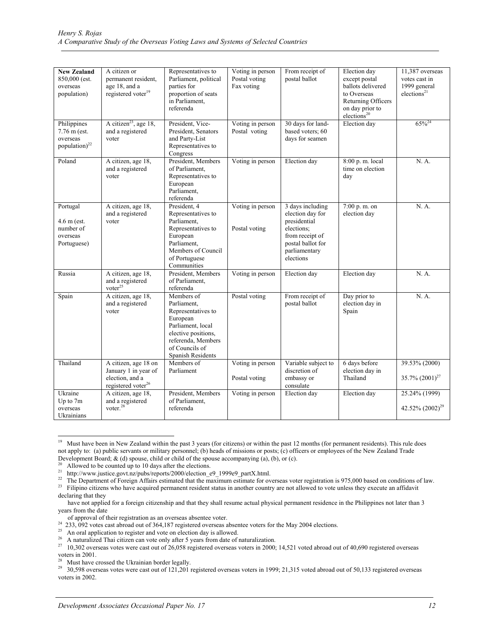| <b>New Zealand</b><br>850,000 (est.<br>overseas<br>population)       | A citizen or<br>permanent resident.<br>age 18, and a<br>registered voter <sup>19</sup>      | Representatives to<br>Parliament, political<br>parties for<br>proportion of seats<br>in Parliament,<br>referenda                                                     | Voting in person<br>Postal voting<br>Fax voting | From receipt of<br>postal ballot                                                                                                         | Election day<br>except postal<br>ballots delivered<br>to Overseas<br>Returning Officers<br>on day prior to<br>elections <sup>20</sup> | 11,387 overseas<br>votes cast in<br>1999 general<br>elections <sup>21</sup> |
|----------------------------------------------------------------------|---------------------------------------------------------------------------------------------|----------------------------------------------------------------------------------------------------------------------------------------------------------------------|-------------------------------------------------|------------------------------------------------------------------------------------------------------------------------------------------|---------------------------------------------------------------------------------------------------------------------------------------|-----------------------------------------------------------------------------|
| Philippines<br>7.76 m (est.<br>overseas<br>population) <sup>22</sup> | A citizen <sup>23</sup> , age 18,<br>and a registered<br>voter                              | President, Vice-<br>President, Senators<br>and Party-List<br>Representatives to<br>Congress                                                                          | Voting in person<br>Postal voting               | 30 days for land-<br>based voters: 60<br>days for seamen                                                                                 | Election day                                                                                                                          | $65\%^{24}$                                                                 |
| Poland                                                               | A citizen, age 18,<br>and a registered<br>voter                                             | President, Members<br>of Parliament,<br>Representatives to<br>European<br>Parliament,<br>referenda                                                                   | Voting in person                                | Election day                                                                                                                             | 8:00 p.m. local<br>time on election<br>dav                                                                                            | N. A.                                                                       |
| Portugal<br>$4.6$ m (est.<br>number of<br>overseas<br>Portuguese)    | A citizen, age 18,<br>and a registered<br>voter                                             | President, 4<br>Representatives to<br>Parliament.<br>Representatives to<br>European<br>Parliament.<br>Members of Council<br>of Portuguese<br>Communities             | Voting in person<br>Postal voting               | 3 days including<br>election day for<br>presidential<br>elections:<br>from receipt of<br>postal ballot for<br>parliamentary<br>elections | 7:00 p.m. on<br>election day                                                                                                          | N. A.                                                                       |
| Russia                                                               | A citizen, age 18,<br>and a registered<br>voter <sup>25</sup>                               | President, Members<br>of Parliament.<br>referenda                                                                                                                    | Voting in person                                | Election day                                                                                                                             | Election day                                                                                                                          | N. A.                                                                       |
| Spain                                                                | A citizen, age 18,<br>and a registered<br>voter                                             | Members of<br>Parliament,<br>Representatives to<br>European<br>Parliament, local<br>elective positions,<br>referenda, Members<br>of Councils of<br>Spanish Residents | Postal voting                                   | From receipt of<br>postal ballot                                                                                                         | Day prior to<br>election day in<br>Spain                                                                                              | N. A.                                                                       |
| Thailand                                                             | A citizen, age 18 on<br>January 1 in year of<br>election, and a<br>registered voter $^{26}$ | Members of<br>Parliament                                                                                                                                             | Voting in person<br>Postal voting               | Variable subject to<br>discretion of<br>embassy or<br>consulate                                                                          | 6 days before<br>election day in<br>Thailand                                                                                          | 39.53% (2000)<br>35.7% $(2001)^{27}$                                        |
| Ukraine<br>Up to 7m<br>overseas<br>Ukrainians                        | A citizen, age 18,<br>and a registered<br>voter. <sup>28</sup>                              | President, Members<br>of Parliament,<br>referenda                                                                                                                    | Voting in person                                | Election day                                                                                                                             | Election day                                                                                                                          | 25.24% (1999)<br>42.52% $(2002)^{29}$                                       |

 $19\,$ 19 Must have been in New Zealand within the past 3 years (for citizens) or within the past 12 months (for permanent residents). This rule does not apply to: (a) public servants or military personnel; (b) heads of missions or posts; (c) officers or employees of the New Zealand Trade Development Board; & (d) spouse, child or child of the spouse accompanying (a), (b), or (c).<br><sup>20</sup> Allowed to be counted up to 10 days after the elections.<br><sup>21</sup> http://www.justice.govt.nz/pubs/reports/2000/election\_e9\_1999

<sup>&</sup>lt;sup>22</sup> The Department of Foreign Affairs estimated that the  $\overline{\text{maximum}}$  estimate for overseas voter registration is 975,000 based on conditions of law.<br><sup>23</sup> Filipino citizens who have acquired permanent resident status in

declaring that they

have not applied for a foreign citizenship and that they shall resume actual physical permanent residence in the Philippines not later than 3 years from the date

of approval of their registration as an overseas absentee voter.

<sup>&</sup>lt;sup>24</sup> 233, 092 votes cast abroad out of 364,187 registered overseas absentee voters for the May 2004 elections.<br><sup>25</sup> An oral application to register and vote on election day is allowed.<br><sup>26</sup> A naturalized Thai citizen can v

<sup>&</sup>lt;sup>27</sup> 10,302 overseas votes were cast out of 26,058 registered overseas voters in 2000; 14,521 voted abroad out of 40,690 registered overseas voters in 2001.

Must have crossed the Ukrainian border legally.

<sup>&</sup>lt;sup>29</sup> 30,598 overseas votes were cast out of 121,201 registered overseas voters in 1999; 21,315 voted abroad out of 50,133 registered overseas voters in 2002.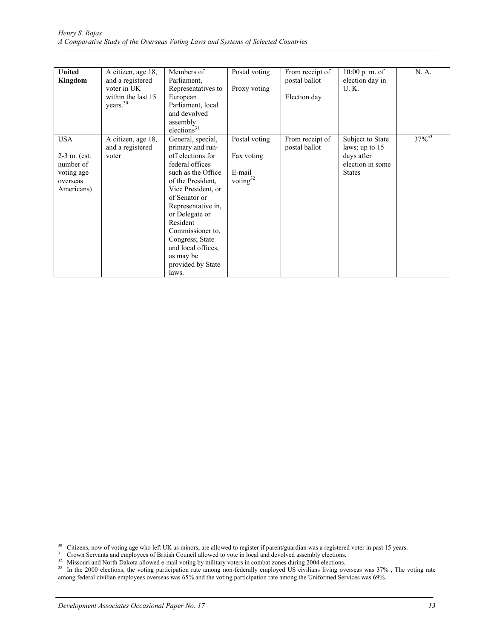| <b>United</b><br>Kingdom                                                           | A citizen, age 18,<br>and a registered<br>voter in UK<br>within the last 15<br>years. <sup>30</sup> | Members of<br>Parliament,<br>Representatives to<br>European<br>Parliament, local<br>and devolved<br>assembly<br>elections <sup>31</sup>                                                                                                                                                                                     | Postal voting<br>Proxy voting                        | From receipt of<br>postal ballot<br>Election day | $10:00$ p.m. of<br>election day in<br><b>U.K.</b>                                     | N. A.       |
|------------------------------------------------------------------------------------|-----------------------------------------------------------------------------------------------------|-----------------------------------------------------------------------------------------------------------------------------------------------------------------------------------------------------------------------------------------------------------------------------------------------------------------------------|------------------------------------------------------|--------------------------------------------------|---------------------------------------------------------------------------------------|-------------|
| <b>USA</b><br>$2-3$ m. (est.)<br>number of<br>voting age<br>overseas<br>Americans) | A citizen, age 18,<br>and a registered<br>voter                                                     | General, special,<br>primary and run-<br>off elections for<br>federal offices<br>such as the Office<br>of the President.<br>Vice President, or<br>of Senator or<br>Representative in,<br>or Delegate or<br>Resident<br>Commissioner to.<br>Congress; State<br>and local offices.<br>as may be<br>provided by State<br>laws. | Postal voting<br>Fax voting<br>E-mail<br>voting $32$ | From receipt of<br>postal ballot                 | Subject to State<br>laws; up to 15<br>days after<br>election in some<br><b>States</b> | $37\%^{33}$ |

 $30\,$ 

<sup>&</sup>lt;sup>30</sup> Citizens, now of voting age who left UK as minors, are allowed to register if parent/guardian was a registered voter in past 15 years.<br><sup>31</sup> Crown Servants and employees of British Council allowed to vote in local and among federal civilian employees overseas was 65% and the voting participation rate among the Uniformed Services was 69%.